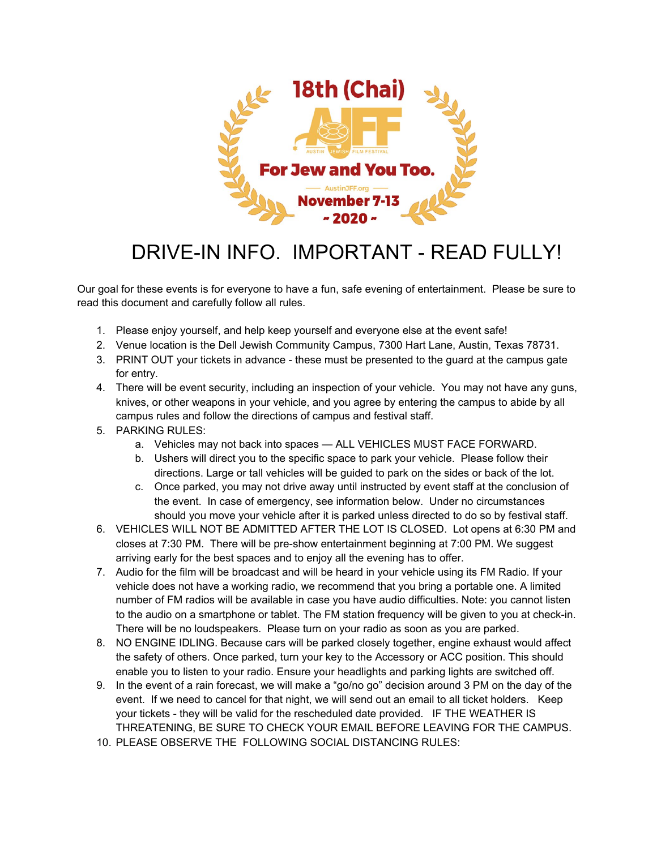

## DRIVE-IN INFO. IMPORTANT - READ FULLY!

Our goal for these events is for everyone to have a fun, safe evening of entertainment. Please be sure to read this document and carefully follow all rules.

- 1. Please enjoy yourself, and help keep yourself and everyone else at the event safe!
- 2. Venue location is the Dell Jewish Community Campus, 7300 Hart Lane, Austin, Texas 78731.
- 3. PRINT OUT your tickets in advance these must be presented to the guard at the campus gate for entry.
- 4. There will be event security, including an inspection of your vehicle. You may not have any guns, knives, or other weapons in your vehicle, and you agree by entering the campus to abide by all campus rules and follow the directions of campus and festival staff.
- 5. PARKING RULES:
	- a. Vehicles may not back into spaces ALL VEHICLES MUST FACE FORWARD.
	- b. Ushers will direct you to the specific space to park your vehicle. Please follow their directions. Large or tall vehicles will be guided to park on the sides or back of the lot.
	- c. Once parked, you may not drive away until instructed by event staff at the conclusion of the event. In case of emergency, see information below. Under no circumstances should you move your vehicle after it is parked unless directed to do so by festival staff.
- 6. VEHICLES WILL NOT BE ADMITTED AFTER THE LOT IS CLOSED. Lot opens at 6:30 PM and closes at 7:30 PM. There will be pre-show entertainment beginning at 7:00 PM. We suggest arriving early for the best spaces and to enjoy all the evening has to offer.
- 7. Audio for the film will be broadcast and will be heard in your vehicle using its FM Radio. If your vehicle does not have a working radio, we recommend that you bring a portable one. A limited number of FM radios will be available in case you have audio difficulties. Note: you cannot listen to the audio on a smartphone or tablet. The FM station frequency will be given to you at check-in. There will be no loudspeakers. Please turn on your radio as soon as you are parked.
- 8. NO ENGINE IDLING. Because cars will be parked closely together, engine exhaust would affect the safety of others. Once parked, turn your key to the Accessory or ACC position. This should enable you to listen to your radio. Ensure your headlights and parking lights are switched off.
- 9. In the event of a rain forecast, we will make a "go/no go" decision around 3 PM on the day of the event. If we need to cancel for that night, we will send out an email to all ticket holders. Keep your tickets - they will be valid for the rescheduled date provided. IF THE WEATHER IS THREATENING, BE SURE TO CHECK YOUR EMAIL BEFORE LEAVING FOR THE CAMPUS.
- 10. PLEASE OBSERVE THE FOLLOWING SOCIAL DISTANCING RULES: